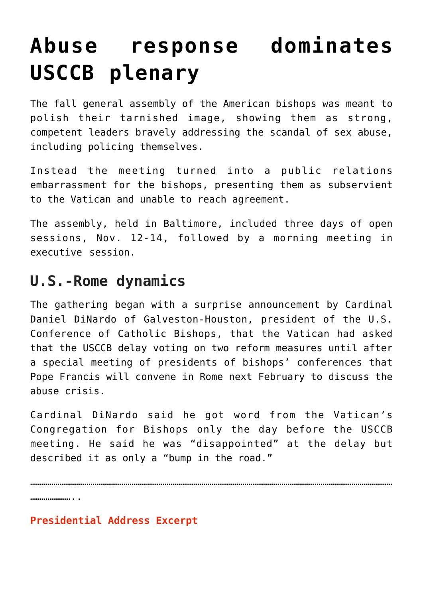## **[Abuse response dominates](https://www.osvnews.com/2018/12/03/abuse-response-dominates-usccb-plenary/) [USCCB plenary](https://www.osvnews.com/2018/12/03/abuse-response-dominates-usccb-plenary/)**

The fall general assembly of the American bishops was meant to polish their tarnished image, showing them as strong, competent leaders bravely addressing the scandal of sex abuse, including policing themselves.

Instead the meeting turned into a public relations embarrassment for the bishops, presenting them as subservient to the Vatican and unable to reach agreement.

The assembly, held in Baltimore, included three days of open sessions, Nov. 12-14, followed by a morning meeting in executive session.

## **U.S.-Rome dynamics**

The gathering began with a surprise announcement by Cardinal Daniel DiNardo of Galveston-Houston, president of the U.S. Conference of Catholic Bishops, that the Vatican had asked that the USCCB delay voting on two reform measures until after a special meeting of presidents of bishops' conferences that Pope Francis will convene in Rome next February to discuss the abuse crisis.

Cardinal DiNardo said he got word from the Vatican's Congregation for Bishops only the day before the USCCB meeting. He said he was "disappointed" at the delay but described it as only a "bump in the road."

……………………………………………………………………………………………………………………………………………………………………

……………………

**Presidential Address Excerpt**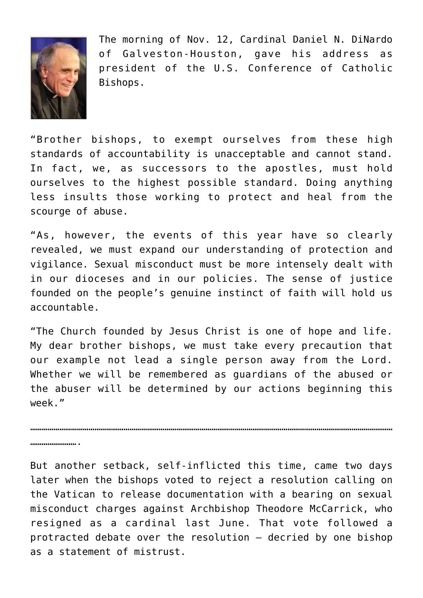

The morning of Nov. 12, Cardinal Daniel N. DiNardo of Galveston-Houston, gave his address as president of the U.S. Conference of Catholic Bishops.

"Brother bishops, to exempt ourselves from these high standards of accountability is unacceptable and cannot stand. In fact, we, as successors to the apostles, must hold ourselves to the highest possible standard. Doing anything less insults those working to protect and heal from the scourge of abuse.

"As, however, the events of this year have so clearly revealed, we must expand our understanding of protection and vigilance. Sexual misconduct must be more intensely dealt with in our dioceses and in our policies. The sense of justice founded on the people's genuine instinct of faith will hold us accountable.

"The Church founded by Jesus Christ is one of hope and life. My dear brother bishops, we must take every precaution that our example not lead a single person away from the Lord. Whether we will be remembered as guardians of the abused or the abuser will be determined by our actions beginning this week."

……………………………………………………………………………………………………………………………………………………………………

……………………

But another setback, self-inflicted this time, came two days later when the bishops voted to reject a resolution calling on the Vatican to release documentation with a bearing on sexual misconduct charges against Archbishop Theodore McCarrick, who resigned as a cardinal last June. That vote followed a protracted debate over the resolution — decried by one bishop as a statement of mistrust.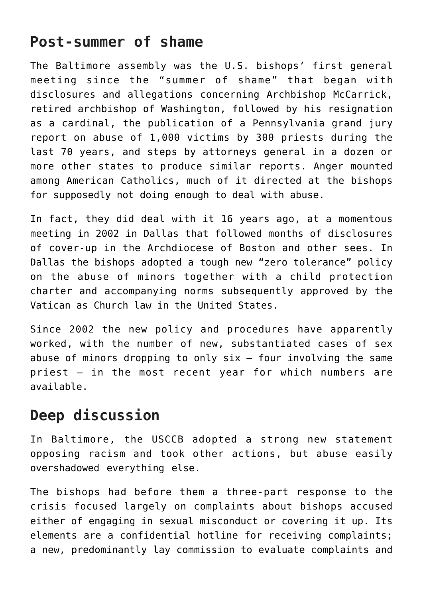## **Post-summer of shame**

The Baltimore assembly was the U.S. bishops' first general meeting since the "summer of shame" that began with disclosures and allegations concerning Archbishop McCarrick, retired archbishop of Washington, followed by his resignation as a cardinal, the publication of a Pennsylvania grand jury report on abuse of 1,000 victims by 300 priests during the last 70 years, and steps by attorneys general in a dozen or more other states to produce similar reports. Anger mounted among American Catholics, much of it directed at the bishops for supposedly not doing enough to deal with abuse.

In fact, they did deal with it 16 years ago, at a momentous meeting in 2002 in Dallas that followed months of disclosures of cover-up in the Archdiocese of Boston and other sees. In Dallas the bishops adopted a tough new "zero tolerance" policy on the abuse of minors together with a child protection charter and accompanying norms subsequently approved by the Vatican as Church law in the United States.

Since 2002 the new policy and procedures have apparently worked, with the number of new, substantiated cases of sex abuse of minors dropping to only  $six - four$  involving the same priest — in the most recent year for which numbers are available.

## **Deep discussion**

In Baltimore, the USCCB adopted a strong new statement opposing racism and took other actions, but abuse easily overshadowed everything else.

The bishops had before them a three-part response to the crisis focused largely on complaints about bishops accused either of engaging in sexual misconduct or covering it up. Its elements are a confidential hotline for receiving complaints; a new, predominantly lay commission to evaluate complaints and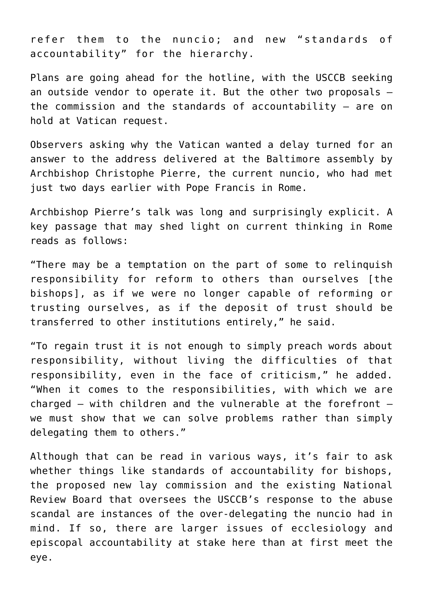refer them to the nuncio; and new "standards of accountability" for the hierarchy.

Plans are going ahead for the hotline, with the USCCB seeking an outside vendor to operate it. But the other two proposals the commission and the standards of accountability — are on hold at Vatican request.

Observers asking why the Vatican wanted a delay turned for an answer to the address delivered at the Baltimore assembly by Archbishop Christophe Pierre, the current nuncio, who had met just two days earlier with Pope Francis in Rome.

Archbishop Pierre's talk was long and surprisingly explicit. A key passage that may shed light on current thinking in Rome reads as follows:

"There may be a temptation on the part of some to relinquish responsibility for reform to others than ourselves [the bishops], as if we were no longer capable of reforming or trusting ourselves, as if the deposit of trust should be transferred to other institutions entirely," he said.

"To regain trust it is not enough to simply preach words about responsibility, without living the difficulties of that responsibility, even in the face of criticism," he added. "When it comes to the responsibilities, with which we are charged — with children and the vulnerable at the forefront we must show that we can solve problems rather than simply delegating them to others."

Although that can be read in various ways, it's fair to ask whether things like standards of accountability for bishops, the proposed new lay commission and the existing National Review Board that oversees the USCCB's response to the abuse scandal are instances of the over-delegating the nuncio had in mind. If so, there are larger issues of ecclesiology and episcopal accountability at stake here than at first meet the eye.